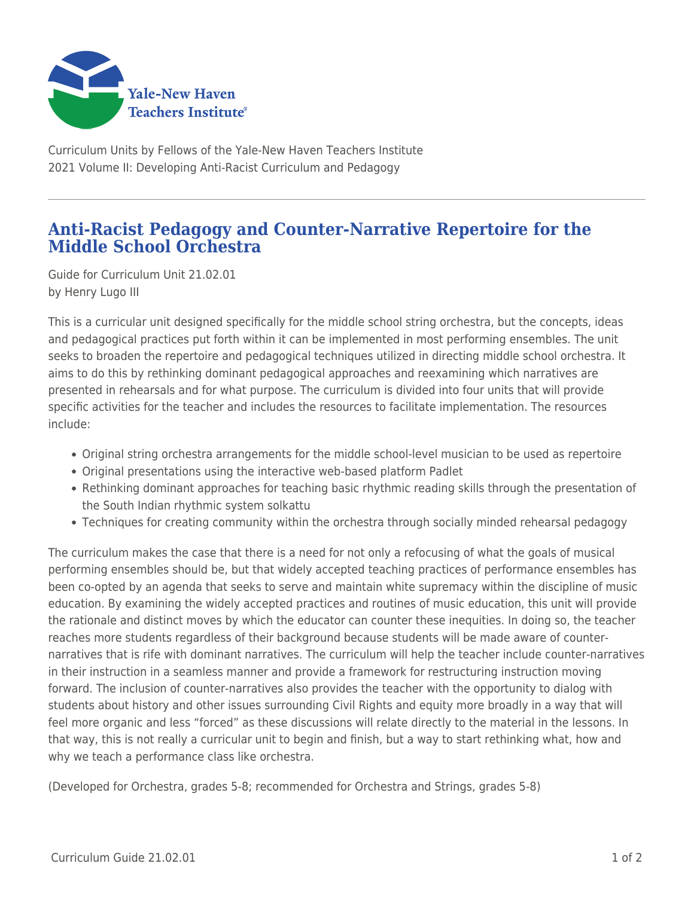

Curriculum Units by Fellows of the Yale-New Haven Teachers Institute 2021 Volume II: Developing Anti-Racist Curriculum and Pedagogy

## **Anti-Racist Pedagogy and Counter-Narrative Repertoire for the Middle School Orchestra**

Guide for Curriculum Unit 21.02.01 by Henry Lugo III

This is a curricular unit designed specifically for the middle school string orchestra, but the concepts, ideas and pedagogical practices put forth within it can be implemented in most performing ensembles. The unit seeks to broaden the repertoire and pedagogical techniques utilized in directing middle school orchestra. It aims to do this by rethinking dominant pedagogical approaches and reexamining which narratives are presented in rehearsals and for what purpose. The curriculum is divided into four units that will provide specific activities for the teacher and includes the resources to facilitate implementation. The resources include:

- Original string orchestra arrangements for the middle school-level musician to be used as repertoire
- Original presentations using the interactive web-based platform Padlet
- Rethinking dominant approaches for teaching basic rhythmic reading skills through the presentation of the South Indian rhythmic system solkattu
- Techniques for creating community within the orchestra through socially minded rehearsal pedagogy

The curriculum makes the case that there is a need for not only a refocusing of what the goals of musical performing ensembles should be, but that widely accepted teaching practices of performance ensembles has been co-opted by an agenda that seeks to serve and maintain white supremacy within the discipline of music education. By examining the widely accepted practices and routines of music education, this unit will provide the rationale and distinct moves by which the educator can counter these inequities. In doing so, the teacher reaches more students regardless of their background because students will be made aware of counternarratives that is rife with dominant narratives. The curriculum will help the teacher include counter-narratives in their instruction in a seamless manner and provide a framework for restructuring instruction moving forward. The inclusion of counter-narratives also provides the teacher with the opportunity to dialog with students about history and other issues surrounding Civil Rights and equity more broadly in a way that will feel more organic and less "forced" as these discussions will relate directly to the material in the lessons. In that way, this is not really a curricular unit to begin and finish, but a way to start rethinking what, how and why we teach a performance class like orchestra.

(Developed for Orchestra, grades 5-8; recommended for Orchestra and Strings, grades 5-8)